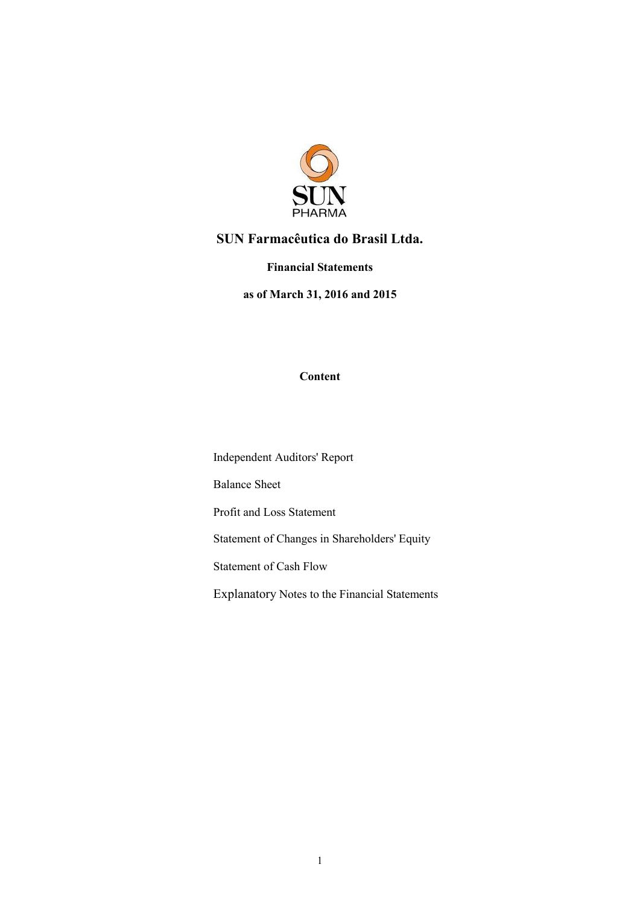

**Financial Statements**

**as of March 31, 2016 and 2015**

# **Content**

Independent Auditors' Report

Balance Sheet

Profit and Loss Statement

Statement of Changes in Shareholders' Equity

Statement of Cash Flow

Explanatory Notes to the Financial Statements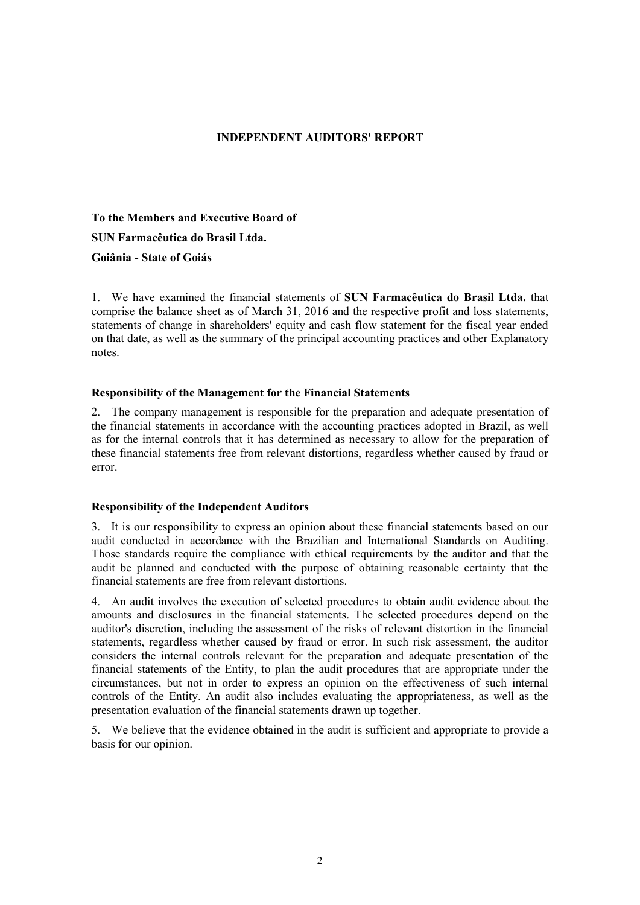# **INDEPENDENT AUDITORS' REPORT**

**To the Members and Executive Board of SUN Farmacêutica do Brasil Ltda. Goiânia - State of Goiás**

1. We have examined the financial statements of **SUN Farmacêutica do Brasil Ltda.** that comprise the balance sheet as of March 31, 2016 and the respective profit and loss statements, statements of change in shareholders' equity and cash flow statement for the fiscal year ended on that date, as well as the summary of the principal accounting practices and other Explanatory notes.

#### **Responsibility of the Management for the Financial Statements**

2. The company management is responsible for the preparation and adequate presentation of the financial statements in accordance with the accounting practices adopted in Brazil, as well as for the internal controls that it has determined as necessary to allow for the preparation of these financial statements free from relevant distortions, regardless whether caused by fraud or error.

#### **Responsibility of the Independent Auditors**

3. It is our responsibility to express an opinion about these financial statements based on our audit conducted in accordance with the Brazilian and International Standards on Auditing. Those standards require the compliance with ethical requirements by the auditor and that the audit be planned and conducted with the purpose of obtaining reasonable certainty that the financial statements are free from relevant distortions.

4. An audit involves the execution of selected procedures to obtain audit evidence about the amounts and disclosures in the financial statements. The selected procedures depend on the auditor's discretion, including the assessment of the risks of relevant distortion in the financial statements, regardless whether caused by fraud or error. In such risk assessment, the auditor considers the internal controls relevant for the preparation and adequate presentation of the financial statements of the Entity, to plan the audit procedures that are appropriate under the circumstances, but not in order to express an opinion on the effectiveness of such internal controls of the Entity. An audit also includes evaluating the appropriateness, as well as the presentation evaluation of the financial statements drawn up together.

5. We believe that the evidence obtained in the audit is sufficient and appropriate to provide a basis for our opinion.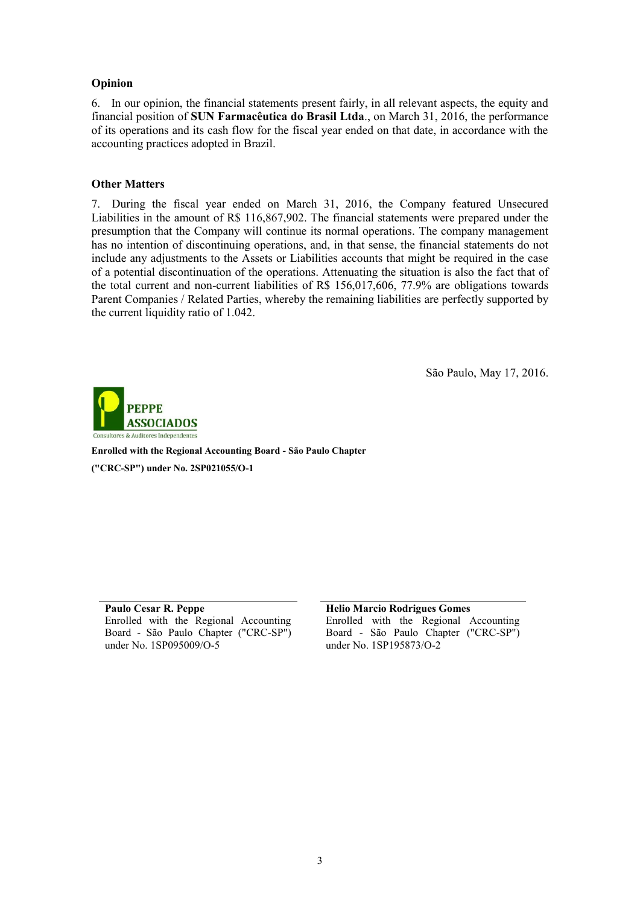# **Opinion**

6. In our opinion, the financial statements present fairly, in all relevant aspects, the equity and financial position of **SUN Farmacêutica do Brasil Ltda**., on March 31, 2016, the performance of its operations and its cash flow for the fiscal year ended on that date, in accordance with the accounting practices adopted in Brazil.

# **Other Matters**

7. During the fiscal year ended on March 31, 2016, the Company featured Unsecured Liabilities in the amount of R\$ 116,867,902. The financial statements were prepared under the presumption that the Company will continue its normal operations. The company management has no intention of discontinuing operations, and, in that sense, the financial statements do not include any adjustments to the Assets or Liabilities accounts that might be required in the case of a potential discontinuation of the operations. Attenuating the situation is also the fact that of the total current and non-current liabilities of R\$ 156,017,606, 77.9% are obligations towards Parent Companies / Related Parties, whereby the remaining liabilities are perfectly supported by the current liquidity ratio of 1.042.

São Paulo, May 17, 2016.



**Enrolled with the Regional Accounting Board - São Paulo Chapter ("CRC-SP") under No. 2SP021055/O-1**

**Paulo Cesar R. Peppe**

Enrolled with the Regional Accounting Board - São Paulo Chapter ("CRC-SP") under No. 1SP095009/O-5

#### **Helio Marcio Rodrigues Gomes**

Enrolled with the Regional Accounting Board - São Paulo Chapter ("CRC-SP") under No. 1SP195873/O-2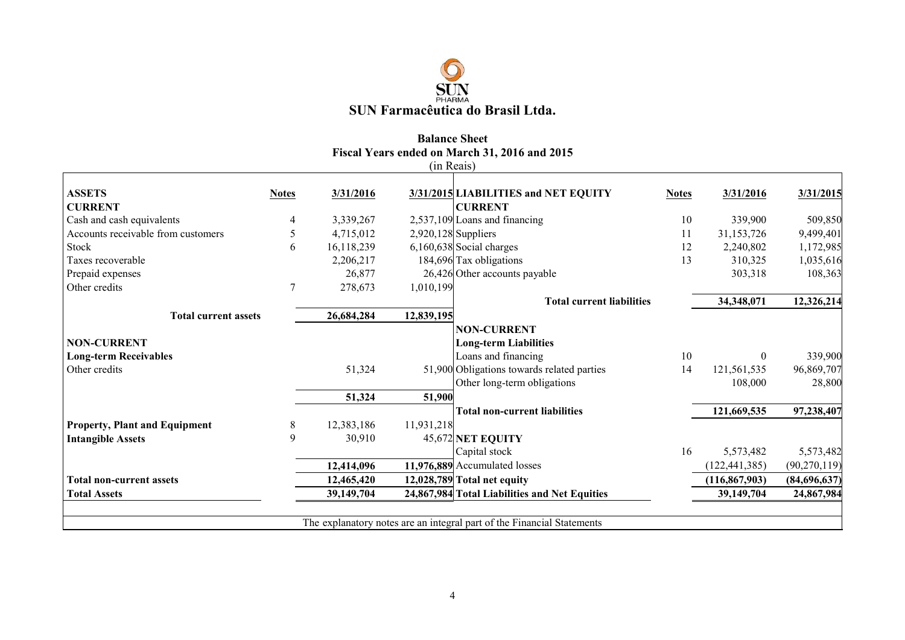

# **Balance Sheet Fiscal Years ended on March 31, 2016 and 2015**

|                                      |              |            |            | (in Reais)                                                             |              |                 |                |
|--------------------------------------|--------------|------------|------------|------------------------------------------------------------------------|--------------|-----------------|----------------|
| <b>ASSETS</b>                        | <b>Notes</b> | 3/31/2016  |            | 3/31/2015 LIABILITIES and NET EQUITY                                   | <b>Notes</b> | 3/31/2016       | 3/31/2015      |
| <b>CURRENT</b>                       |              |            |            | <b>CURRENT</b>                                                         |              |                 |                |
| Cash and cash equivalents            | 4            | 3,339,267  |            | 2,537,109 Loans and financing                                          | 10           | 339,900         | 509,850        |
| Accounts receivable from customers   | 5            | 4,715,012  |            | 2,920,128 Suppliers                                                    | 11           | 31,153,726      | 9,499,401      |
| Stock                                | 6            | 16,118,239 |            | 6,160,638 Social charges                                               | 12           | 2,240,802       | 1,172,985      |
| Taxes recoverable                    |              | 2,206,217  |            | 184,696 Tax obligations                                                | 13           | 310,325         | 1,035,616      |
| Prepaid expenses                     |              | 26,877     |            | 26,426 Other accounts payable                                          |              | 303,318         | 108,363        |
| Other credits                        | 7            | 278,673    | 1,010,199  |                                                                        |              |                 |                |
|                                      |              |            |            | <b>Total current liabilities</b>                                       |              | 34,348,071      | 12,326,214     |
| <b>Total current assets</b>          |              | 26,684,284 | 12,839,195 |                                                                        |              |                 |                |
|                                      |              |            |            | <b>NON-CURRENT</b>                                                     |              |                 |                |
| <b>NON-CURRENT</b>                   |              |            |            | <b>Long-term Liabilities</b>                                           |              |                 |                |
| <b>Long-term Receivables</b>         |              |            |            | Loans and financing                                                    | 10           | $\theta$        | 339,900        |
| Other credits                        |              | 51,324     |            | 51,900 Obligations towards related parties                             | 14           | 121,561,535     | 96,869,707     |
|                                      |              |            |            | Other long-term obligations                                            |              | 108,000         | 28,800         |
|                                      |              | 51,324     | 51,900     |                                                                        |              |                 |                |
|                                      |              |            |            | <b>Total non-current liabilities</b>                                   |              | 121,669,535     | 97,238,407     |
| <b>Property, Plant and Equipment</b> | 8            | 12,383,186 | 11,931,218 |                                                                        |              |                 |                |
| <b>Intangible Assets</b>             | 9            | 30,910     |            | 45,672 NET EQUITY                                                      |              |                 |                |
|                                      |              |            |            | Capital stock                                                          | 16           | 5,573,482       | 5,573,482      |
|                                      |              | 12,414,096 |            | 11,976,889 Accumulated losses                                          |              | (122, 441, 385) | (90, 270, 119) |
| <b>Total non-current assets</b>      |              | 12,465,420 |            | 12,028,789 Total net equity                                            |              | (116, 867, 903) | (84,696,637)   |
| <b>Total Assets</b>                  |              | 39,149,704 |            | 24,867,984 Total Liabilities and Net Equities                          |              | 39,149,704      | 24,867,984     |
|                                      |              |            |            |                                                                        |              |                 |                |
|                                      |              |            |            | The explanatory notes are an integral part of the Financial Statements |              |                 |                |
|                                      |              |            |            |                                                                        |              |                 |                |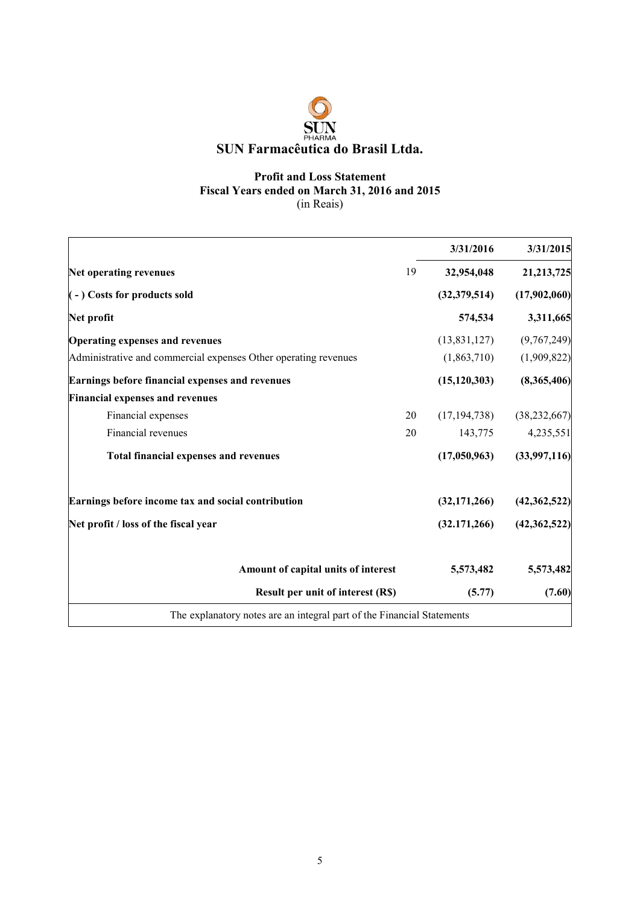# **Profit and Loss Statement Fiscal Years ended on March 31, 2016 and 2015** (in Reais)

|                                                                        |    | 3/31/2016      | 3/31/2015                        |
|------------------------------------------------------------------------|----|----------------|----------------------------------|
| Net operating revenues                                                 | 19 | 32,954,048     | 21,213,725                       |
| (-) Costs for products sold                                            |    | (32,379,514)   | (17,902,060)                     |
| Net profit                                                             |    | 574,534        | 3,311,665                        |
| <b>Operating expenses and revenues</b>                                 |    | (13, 831, 127) | (9,767,249)                      |
| Administrative and commercial expenses Other operating revenues        |    | (1,863,710)    | (1,909,822)                      |
| <b>Earnings before financial expenses and revenues</b>                 |    | (15, 120, 303) | (8,365,406)                      |
| <b>Financial expenses and revenues</b>                                 |    |                |                                  |
| Financial expenses                                                     | 20 | (17, 194, 738) | (38, 232, 667)                   |
| Financial revenues                                                     | 20 | 143,775        | 4,235,551                        |
| <b>Total financial expenses and revenues</b>                           |    | (17,050,963)   | (33,997,116)                     |
| Earnings before income tax and social contribution                     |    | (32, 171, 266) |                                  |
| Net profit / loss of the fiscal year                                   |    | (32.171, 266)  | $(42,362,522)$<br>$(42,362,522)$ |
| Amount of capital units of interest                                    |    | 5,573,482      | 5,573,482                        |
| Result per unit of interest (R\$)                                      |    | (5.77)         | (7.60)                           |
| The explanatory notes are an integral part of the Financial Statements |    |                |                                  |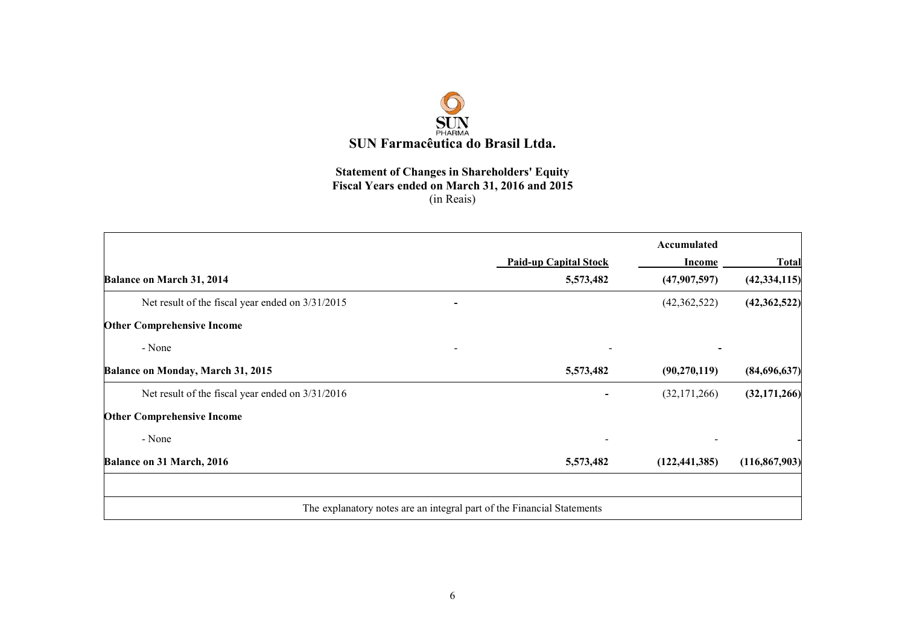

# **Statement of Changes in Shareholders' Equity Fiscal Years ended on March 31, 2016 and 2015** (in Reais)

|                                                  |                                                                        | Accumulated     |                 |
|--------------------------------------------------|------------------------------------------------------------------------|-----------------|-----------------|
|                                                  | <b>Paid-up Capital Stock</b>                                           | Income          | <b>Total</b>    |
| Balance on March 31, 2014                        | 5,573,482                                                              | (47,907,597)    | (42, 334, 115)  |
| Net result of the fiscal year ended on 3/31/2015 |                                                                        | (42,362,522)    | (42, 362, 522)  |
| <b>Other Comprehensive Income</b>                |                                                                        |                 |                 |
| - None                                           |                                                                        |                 |                 |
| Balance on Monday, March 31, 2015                | 5,573,482                                                              | (90,270,119)    | (84,696,637)    |
| Net result of the fiscal year ended on 3/31/2016 |                                                                        | (32, 171, 266)  | (32, 171, 266)  |
| <b>Other Comprehensive Income</b>                |                                                                        |                 |                 |
| - None                                           |                                                                        |                 |                 |
| Balance on 31 March, 2016                        | 5,573,482                                                              | (122, 441, 385) | (116, 867, 903) |
|                                                  |                                                                        |                 |                 |
|                                                  | The explanatory notes are an integral part of the Financial Statements |                 |                 |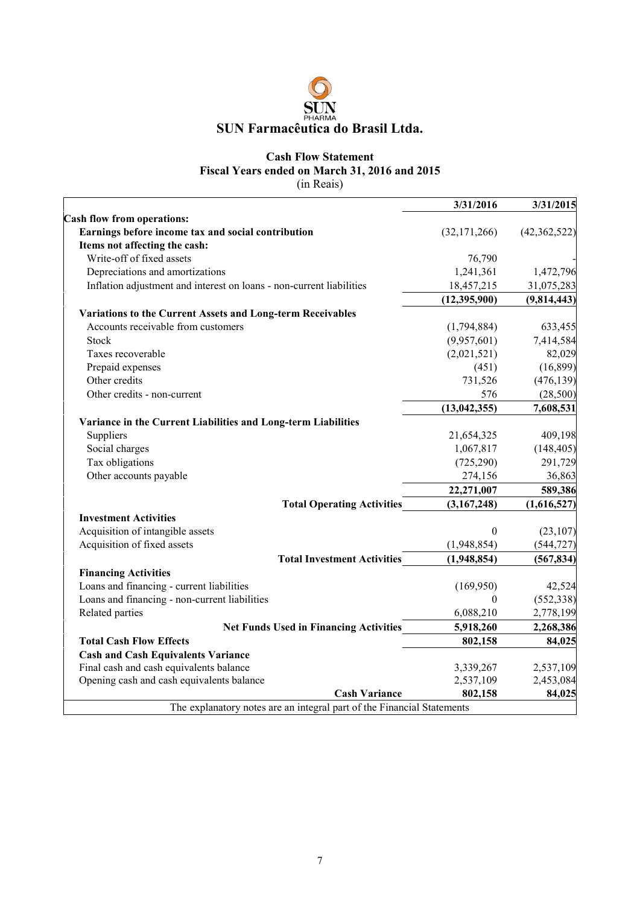

# **Cash Flow Statement Fiscal Years ended on March 31, 2016 and 2015**

(in Reais)

|                                                                        | 3/31/2016      | 3/31/2015      |
|------------------------------------------------------------------------|----------------|----------------|
| <b>Cash flow from operations:</b>                                      |                |                |
| Earnings before income tax and social contribution                     | (32, 171, 266) | (42, 362, 522) |
| Items not affecting the cash:                                          |                |                |
| Write-off of fixed assets                                              | 76,790         |                |
| Depreciations and amortizations                                        | 1,241,361      | 1,472,796      |
| Inflation adjustment and interest on loans - non-current liabilities   | 18,457,215     | 31,075,283     |
|                                                                        | (12, 395, 900) | (9,814,443)    |
| Variations to the Current Assets and Long-term Receivables             |                |                |
| Accounts receivable from customers                                     | (1,794,884)    | 633,455        |
| Stock                                                                  | (9,957,601)    | 7,414,584      |
| Taxes recoverable                                                      | (2,021,521)    | 82,029         |
| Prepaid expenses                                                       | (451)          | (16, 899)      |
| Other credits                                                          | 731,526        | (476, 139)     |
| Other credits - non-current                                            | 576            | (28,500)       |
|                                                                        | (13, 042, 355) | 7,608,531      |
| Variance in the Current Liabilities and Long-term Liabilities          |                |                |
| Suppliers                                                              | 21,654,325     | 409,198        |
| Social charges                                                         | 1,067,817      | (148, 405)     |
| Tax obligations                                                        | (725, 290)     | 291,729        |
| Other accounts payable                                                 | 274,156        | 36,863         |
|                                                                        | 22,271,007     | 589,386        |
| <b>Total Operating Activities</b>                                      | (3,167,248)    | (1,616,527)    |
| <b>Investment Activities</b>                                           |                |                |
| Acquisition of intangible assets                                       | $\theta$       | (23, 107)      |
| Acquisition of fixed assets                                            | (1,948,854)    | (544, 727)     |
| <b>Total Investment Activities</b>                                     | (1,948,854)    | (567, 834)     |
| <b>Financing Activities</b>                                            |                |                |
| Loans and financing - current liabilities                              | (169,950)      | 42,524         |
| Loans and financing - non-current liabilities                          | $\theta$       | (552, 338)     |
| Related parties                                                        | 6,088,210      | 2,778,199      |
| <b>Net Funds Used in Financing Activities</b>                          | 5,918,260      | 2,268,386      |
| <b>Total Cash Flow Effects</b>                                         | 802,158        | 84,025         |
| <b>Cash and Cash Equivalents Variance</b>                              |                |                |
| Final cash and cash equivalents balance                                | 3,339,267      | 2,537,109      |
| Opening cash and cash equivalents balance                              | 2,537,109      | 2,453,084      |
| <b>Cash Variance</b>                                                   | 802,158        | 84,025         |
| The explanatory notes are an integral part of the Financial Statements |                |                |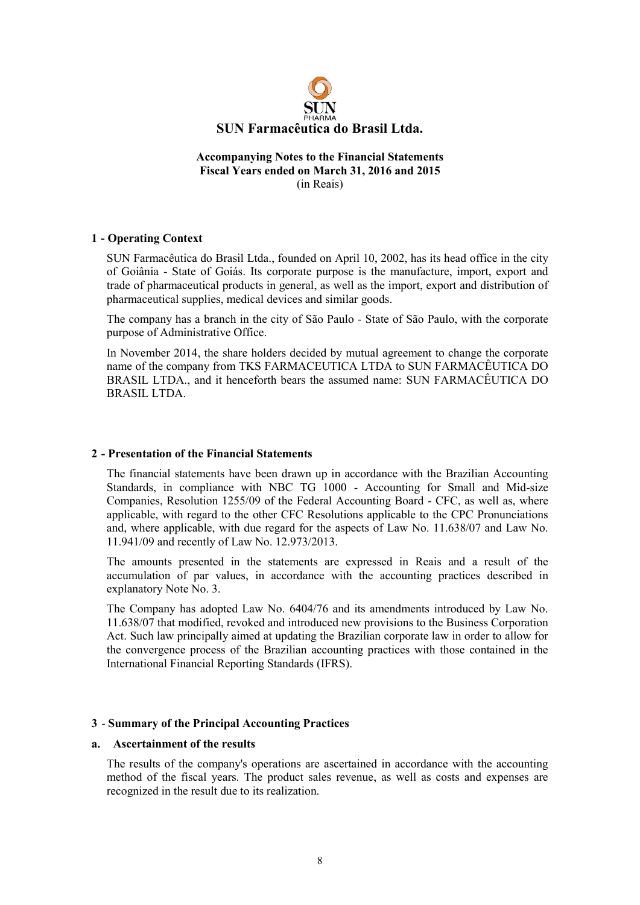

# **1 - Operating Context**

SUN Farmacêutica do Brasil Ltda., founded on April 10, 2002, has its head office in the city of Goiânia - State of Goiás. Its corporate purpose is the manufacture, import, export and trade of pharmaceutical products in general, as well as the import, export and distribution of pharmaceutical supplies, medical devices and similar goods.

The company has a branch in the city of São Paulo - State of São Paulo, with the corporate purpose of Administrative Office.

In November 2014, the share holders decided by mutual agreement to change the corporate name of the company from TKS FARMACEUTICA LTDA to SUN FARMACÊUTICA DO BRASIL LTDA., and it henceforth bears the assumed name: SUN FARMACÊUTICA DO BRASIL LTDA.

#### **2 - Presentation of the Financial Statements**

The financial statements have been drawn up in accordance with the Brazilian Accounting Standards, in compliance with NBC TG 1000 - Accounting for Small and Mid-size Companies, Resolution 1255/09 of the Federal Accounting Board - CFC, as well as, where applicable, with regard to the other CFC Resolutions applicable to the CPC Pronunciations and, where applicable, with due regard for the aspects of Law No. 11.638/07 and Law No. 11.941/09 and recently of Law No. 12.973/2013.

The amounts presented in the statements are expressed in Reais and a result of the accumulation of par values, in accordance with the accounting practices described in explanatory Note No. 3.

The Company has adopted Law No. 6404/76 and its amendments introduced by Law No. 11.638/07 that modified, revoked and introduced new provisions to the Business Corporation Act. Such law principally aimed at updating the Brazilian corporate law in order to allow for the convergence process of the Brazilian accounting practices with those contained in the International Financial Reporting Standards (IFRS).

# **3** - **Summary of the Principal Accounting Practices**

#### **a. Ascertainment of the results**

The results of the company's operations are ascertained in accordance with the accounting method of the fiscal years. The product sales revenue, as well as costs and expenses are recognized in the result due to its realization.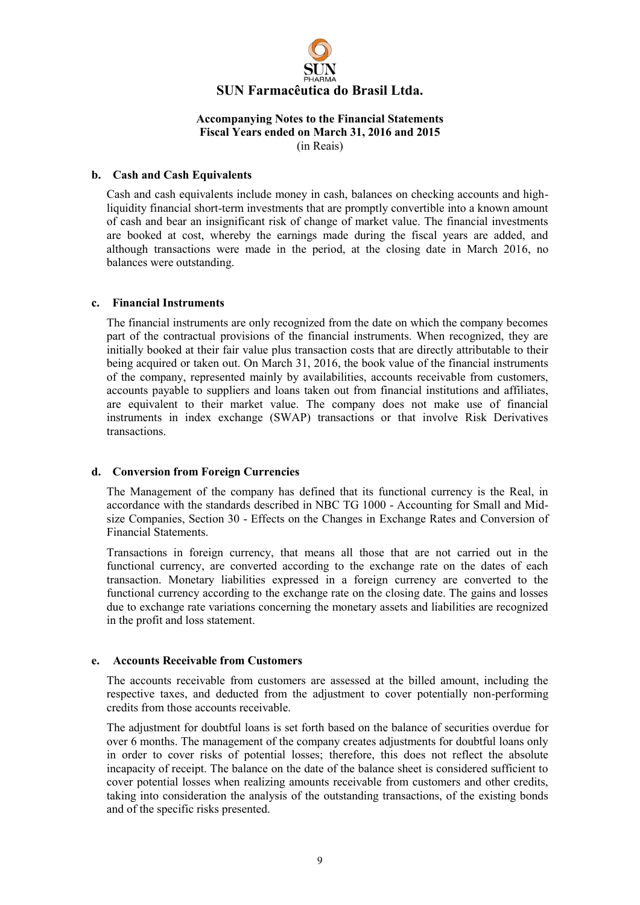

#### **b. Cash and Cash Equivalents**

Cash and cash equivalents include money in cash, balances on checking accounts and highliquidity financial short-term investments that are promptly convertible into a known amount of cash and bear an insignificant risk of change of market value. The financial investments are booked at cost, whereby the earnings made during the fiscal years are added, and although transactions were made in the period, at the closing date in March 2016, no balances were outstanding.

#### **c. Financial Instruments**

The financial instruments are only recognized from the date on which the company becomes part of the contractual provisions of the financial instruments. When recognized, they are initially booked at their fair value plus transaction costs that are directly attributable to their being acquired or taken out. On March 31, 2016, the book value of the financial instruments of the company, represented mainly by availabilities, accounts receivable from customers, accounts payable to suppliers and loans taken out from financial institutions and affiliates, are equivalent to their market value. The company does not make use of financial instruments in index exchange (SWAP) transactions or that involve Risk Derivatives transactions.

# **d. Conversion from Foreign Currencies**

The Management of the company has defined that its functional currency is the Real, in accordance with the standards described in NBC TG 1000 - Accounting for Small and Midsize Companies, Section 30 - Effects on the Changes in Exchange Rates and Conversion of Financial Statements.

Transactions in foreign currency, that means all those that are not carried out in the functional currency, are converted according to the exchange rate on the dates of each transaction. Monetary liabilities expressed in a foreign currency are converted to the functional currency according to the exchange rate on the closing date. The gains and losses due to exchange rate variations concerning the monetary assets and liabilities are recognized in the profit and loss statement.

# **e. Accounts Receivable from Customers**

The accounts receivable from customers are assessed at the billed amount, including the respective taxes, and deducted from the adjustment to cover potentially non-performing credits from those accounts receivable.

The adjustment for doubtful loans is set forth based on the balance of securities overdue for over 6 months. The management of the company creates adjustments for doubtful loans only in order to cover risks of potential losses; therefore, this does not reflect the absolute incapacity of receipt. The balance on the date of the balance sheet is considered sufficient to cover potential losses when realizing amounts receivable from customers and other credits, taking into consideration the analysis of the outstanding transactions, of the existing bonds and of the specific risks presented.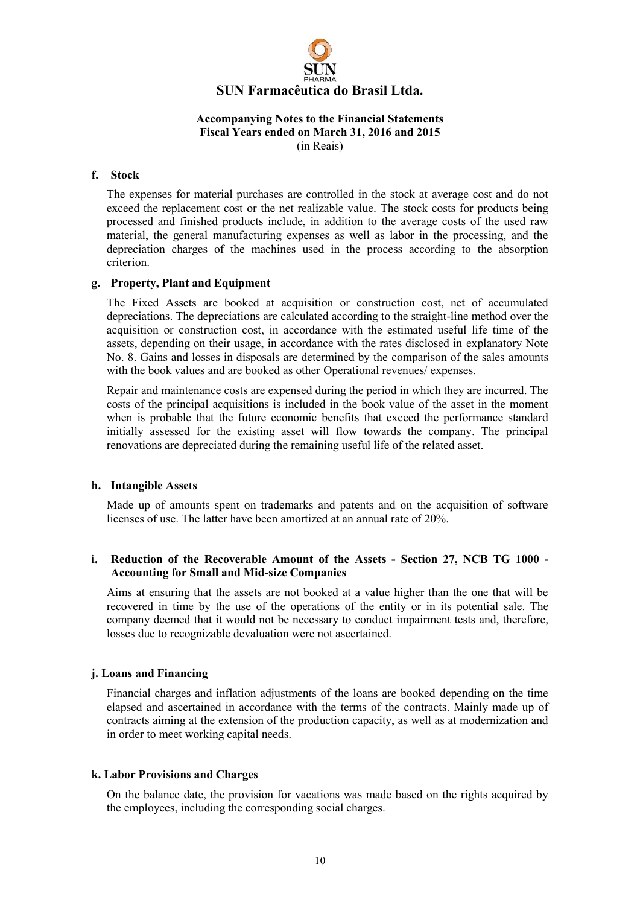

#### **f. Stock**

The expenses for material purchases are controlled in the stock at average cost and do not exceed the replacement cost or the net realizable value. The stock costs for products being processed and finished products include, in addition to the average costs of the used raw material, the general manufacturing expenses as well as labor in the processing, and the depreciation charges of the machines used in the process according to the absorption criterion.

#### **g. Property, Plant and Equipment**

The Fixed Assets are booked at acquisition or construction cost, net of accumulated depreciations. The depreciations are calculated according to the straight-line method over the acquisition or construction cost, in accordance with the estimated useful life time of the assets, depending on their usage, in accordance with the rates disclosed in explanatory Note No. 8. Gains and losses in disposals are determined by the comparison of the sales amounts with the book values and are booked as other Operational revenues/ expenses.

Repair and maintenance costs are expensed during the period in which they are incurred. The costs of the principal acquisitions is included in the book value of the asset in the moment when is probable that the future economic benefits that exceed the performance standard initially assessed for the existing asset will flow towards the company. The principal renovations are depreciated during the remaining useful life of the related asset.

#### **h. Intangible Assets**

Made up of amounts spent on trademarks and patents and on the acquisition of software licenses of use. The latter have been amortized at an annual rate of 20%.

# **i. Reduction of the Recoverable Amount of the Assets - Section 27, NCB TG 1000 - Accounting for Small and Mid-size Companies**

Aims at ensuring that the assets are not booked at a value higher than the one that will be recovered in time by the use of the operations of the entity or in its potential sale. The company deemed that it would not be necessary to conduct impairment tests and, therefore, losses due to recognizable devaluation were not ascertained.

# **j. Loans and Financing**

Financial charges and inflation adjustments of the loans are booked depending on the time elapsed and ascertained in accordance with the terms of the contracts. Mainly made up of contracts aiming at the extension of the production capacity, as well as at modernization and in order to meet working capital needs.

#### **k. Labor Provisions and Charges**

On the balance date, the provision for vacations was made based on the rights acquired by the employees, including the corresponding social charges.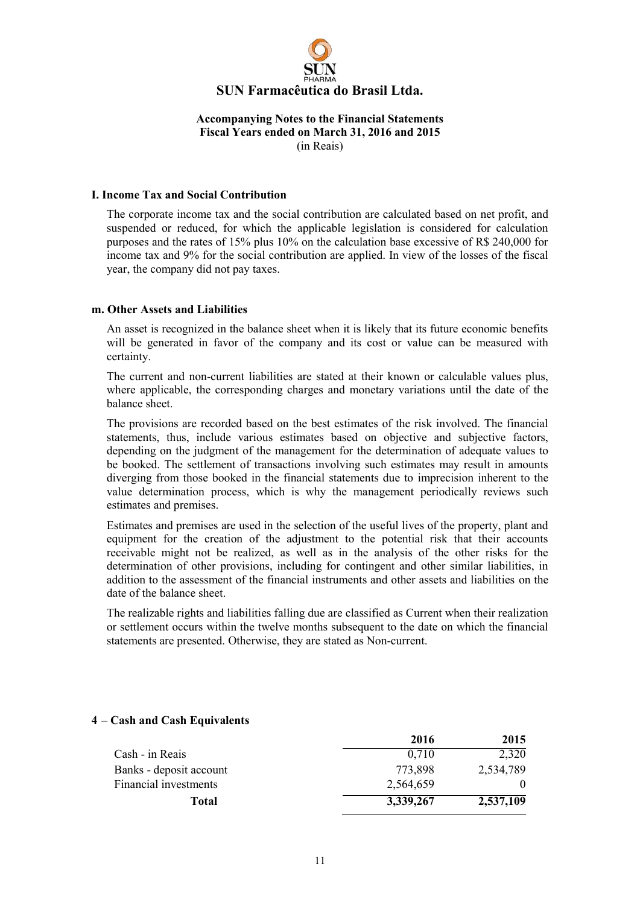

#### **I. Income Tax and Social Contribution**

The corporate income tax and the social contribution are calculated based on net profit, and suspended or reduced, for which the applicable legislation is considered for calculation purposes and the rates of 15% plus 10% on the calculation base excessive of R\$ 240,000 for income tax and 9% for the social contribution are applied. In view of the losses of the fiscal year, the company did not pay taxes.

#### **m. Other Assets and Liabilities**

An asset is recognized in the balance sheet when it is likely that its future economic benefits will be generated in favor of the company and its cost or value can be measured with certainty.

The current and non-current liabilities are stated at their known or calculable values plus, where applicable, the corresponding charges and monetary variations until the date of the balance sheet.

The provisions are recorded based on the best estimates of the risk involved. The financial statements, thus, include various estimates based on objective and subjective factors, depending on the judgment of the management for the determination of adequate values to be booked. The settlement of transactions involving such estimates may result in amounts diverging from those booked in the financial statements due to imprecision inherent to the value determination process, which is why the management periodically reviews such estimates and premises.

Estimates and premises are used in the selection of the useful lives of the property, plant and equipment for the creation of the adjustment to the potential risk that their accounts receivable might not be realized, as well as in the analysis of the other risks for the determination of other provisions, including for contingent and other similar liabilities, in addition to the assessment of the financial instruments and other assets and liabilities on the date of the balance sheet.

The realizable rights and liabilities falling due are classified as Current when their realization or settlement occurs within the twelve months subsequent to the date on which the financial statements are presented. Otherwise, they are stated as Non-current.

|                         | 2016      | 2015      |
|-------------------------|-----------|-----------|
| Cash - in Reais         | 0.710     | 2,320     |
| Banks - deposit account | 773,898   | 2,534,789 |
| Financial investments   | 2,564,659 |           |
| Total                   | 3,339,267 | 2,537,109 |

# **4** – **Cash and Cash Equivalents**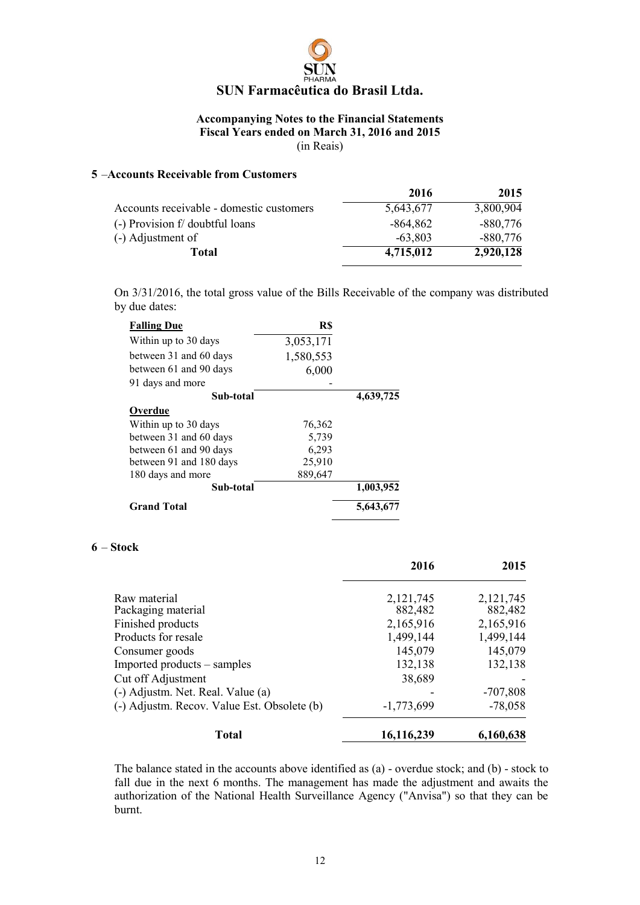# **Accompanying Notes to the Financial Statements Fiscal Years ended on March 31, 2016 and 2015** (in Reais)

#### **5** –**Accounts Receivable from Customers**

| 2016       | 2015       |
|------------|------------|
| 5,643,677  | 3,800,904  |
| $-864,862$ | $-880,776$ |
| $-63,803$  | -880,776   |
| 4,715,012  | 2,920,128  |
|            |            |

On 3/31/2016, the total gross value of the Bills Receivable of the company was distributed by due dates:

| <b>Falling Due</b>      | R\$       |           |
|-------------------------|-----------|-----------|
| Within up to 30 days    | 3,053,171 |           |
| between 31 and 60 days  | 1,580,553 |           |
| between 61 and 90 days  | 6,000     |           |
| 91 days and more        |           |           |
| Sub-total               |           | 4,639,725 |
| Overdue                 |           |           |
| Within up to 30 days    | 76,362    |           |
| between 31 and 60 days  | 5,739     |           |
| between 61 and 90 days  | 6,293     |           |
| between 91 and 180 days | 25,910    |           |
| 180 days and more       | 889,647   |           |
| Sub-total               |           | 1,003,952 |
| <b>Grand Total</b>      |           | 5,643,677 |

#### **6** – **Stock**

|                                             | 2016         | 2015       |
|---------------------------------------------|--------------|------------|
| Raw material                                | 2,121,745    | 2,121,745  |
| Packaging material                          | 882,482      | 882,482    |
| Finished products                           | 2,165,916    | 2,165,916  |
| Products for resale                         | 1,499,144    | 1,499,144  |
| Consumer goods                              | 145,079      | 145,079    |
| Imported products – samples                 | 132,138      | 132,138    |
| Cut off Adjustment                          | 38,689       |            |
| (-) Adjustm. Net. Real. Value (a)           |              | $-707,808$ |
| (-) Adjustm. Recov. Value Est. Obsolete (b) | $-1,773,699$ | $-78,058$  |
| Total                                       | 16,116,239   | 6,160,638  |

The balance stated in the accounts above identified as (a) - overdue stock; and (b) - stock to fall due in the next 6 months. The management has made the adjustment and awaits the authorization of the National Health Surveillance Agency ("Anvisa") so that they can be burnt.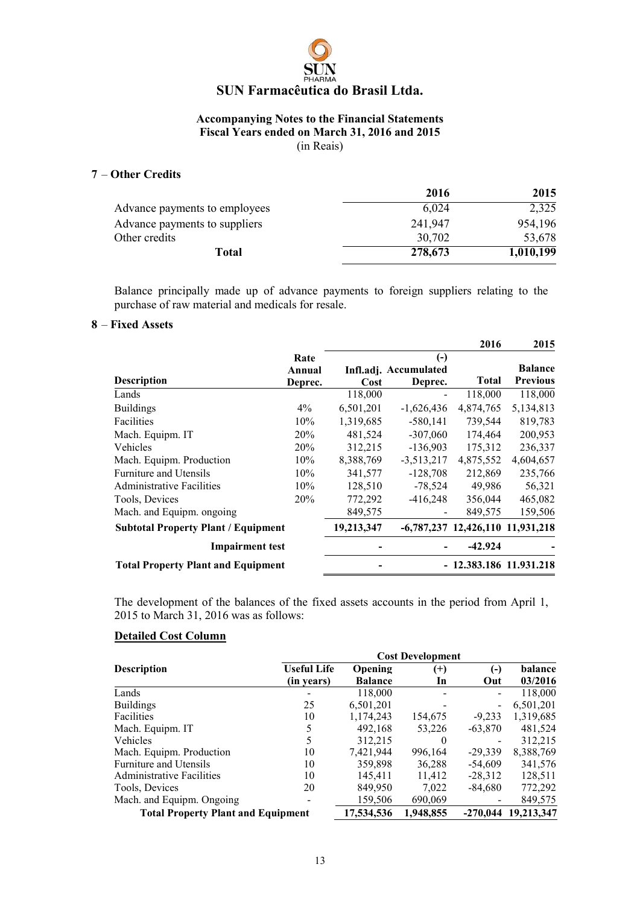

# **7** – **Other Credits**

|                               | 2016    | 2015      |
|-------------------------------|---------|-----------|
| Advance payments to employees | 6.024   | 2,325     |
| Advance payments to suppliers | 241,947 | 954,196   |
| Other credits                 | 30,702  | 53,678    |
| Total                         | 278,673 | 1,010,199 |

Balance principally made up of advance payments to foreign suppliers relating to the purchase of raw material and medicals for resale.

# **8** – **Fixed Assets**

|                                            |         |            |                        | 2016      | 2015                               |
|--------------------------------------------|---------|------------|------------------------|-----------|------------------------------------|
|                                            | Rate    |            | $\left( \cdot \right)$ |           |                                    |
|                                            | Annual  |            | Infl.adj. Accumulated  |           | <b>Balance</b>                     |
| <b>Description</b>                         | Deprec. | Cost       | Deprec.                | Total     | <b>Previous</b>                    |
| Lands                                      |         | 118,000    |                        | 118,000   | 118,000                            |
| <b>Buildings</b>                           | $4\%$   | 6,501,201  | $-1,626,436$           | 4,874,765 | 5,134,813                          |
| Facilities                                 | 10%     | 1,319,685  | $-580,141$             | 739,544   | 819,783                            |
| Mach. Equipm. IT                           | 20%     | 481,524    | $-307,060$             | 174,464   | 200,953                            |
| Vehicles                                   | 20%     | 312,215    | $-136,903$             | 175,312   | 236,337                            |
| Mach. Equipm. Production                   | 10%     | 8,388,769  | $-3,513,217$           | 4,875,552 | 4,604,657                          |
| Furniture and Utensils                     | 10%     | 341,577    | $-128,708$             | 212,869   | 235,766                            |
| <b>Administrative Facilities</b>           | 10%     | 128,510    | $-78,524$              | 49,986    | 56,321                             |
| Tools, Devices                             | 20%     | 772,292    | $-416,248$             | 356,044   | 465,082                            |
| Mach. and Equipm. ongoing                  |         | 849,575    |                        | 849,575   | 159,506                            |
| <b>Subtotal Property Plant / Equipment</b> |         | 19,213,347 |                        |           | $-6,787,237$ 12,426,110 11,931,218 |
| <b>Impairment test</b>                     |         |            |                        | -42.924   |                                    |
| <b>Total Property Plant and Equipment</b>  |         |            |                        |           | - 12.383.186 11.931.218            |

The development of the balances of the fixed assets accounts in the period from April 1, 2015 to March 31, 2016 was as follows:

# **Detailed Cost Column**

| <b>Description</b>                        | <b>Useful Life</b> | Opening        | $^{(+)}$  | $(-)$                        | balance               |
|-------------------------------------------|--------------------|----------------|-----------|------------------------------|-----------------------|
|                                           | (in years)         | <b>Balance</b> | <b>In</b> | Out                          | 03/2016               |
| Lands                                     |                    | 118,000        |           |                              | 118,000               |
| <b>Buildings</b>                          | 25                 | 6,501,201      |           | $\qquad \qquad \blacksquare$ | 6,501,201             |
| Facilities                                | 10                 | 1,174,243      | 154,675   | $-9,233$                     | 1,319,685             |
| Mach. Equipm. IT                          | 5                  | 492,168        | 53,226    | $-63,870$                    | 481,524               |
| Vehicles                                  | 5                  | 312,215        | $\theta$  |                              | 312,215               |
| Mach. Equipm. Production                  | 10                 | 7,421,944      | 996,164   | $-29.339$                    | 8,388,769             |
| <b>Furniture and Utensils</b>             | 10                 | 359,898        | 36,288    | $-54,609$                    | 341,576               |
| <b>Administrative Facilities</b>          | 10                 | 145,411        | 11,412    | $-28,312$                    | 128,511               |
| Tools, Devices                            | 20                 | 849,950        | 7,022     | $-84,680$                    | 772,292               |
| Mach. and Equipm. Ongoing.                |                    | 159,506        | 690,069   |                              | 849,575               |
| <b>Total Property Plant and Equipment</b> |                    | 17,534,536     | 1,948,855 |                              | $-270,044$ 19,213,347 |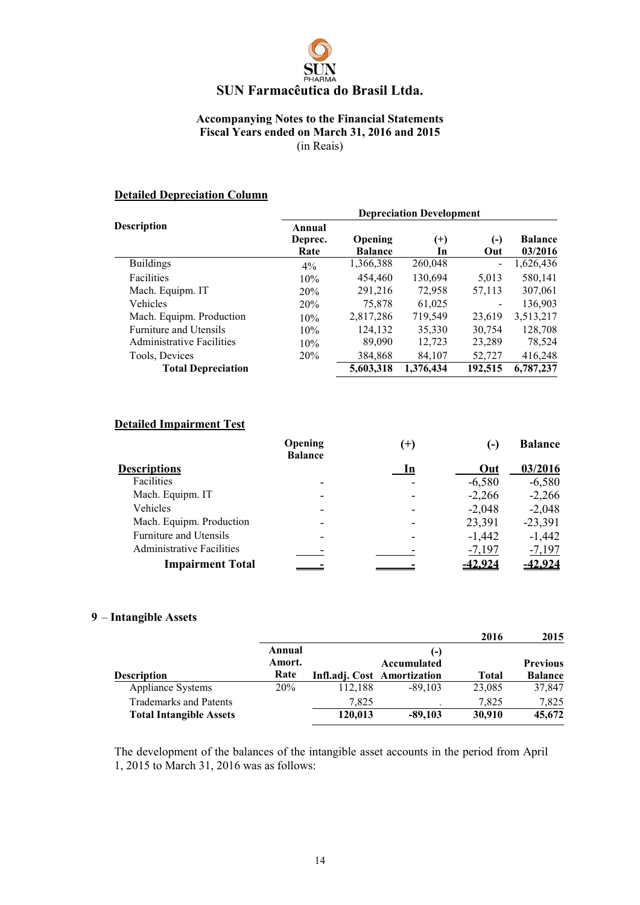# **Accompanying Notes to the Financial Statements Fiscal Years ended on March 31, 2016 and 2015** (in Reais)

# **Detailed Depreciation Column**

|                                  | <b>Depreciation Development</b> |                           |                |                |                           |  |
|----------------------------------|---------------------------------|---------------------------|----------------|----------------|---------------------------|--|
| <b>Description</b>               | Annual<br>Deprec.<br>Rate       | Opening<br><b>Balance</b> | $^{(+)}$<br>In | $(-)$<br>Out   | <b>Balance</b><br>03/2016 |  |
| <b>Buildings</b>                 | $4\%$                           | 1,366,388                 | 260,048        | $\blacksquare$ | 1,626,436                 |  |
| <b>Facilities</b>                | 10%                             | 454,460                   | 130,694        | 5.013          | 580,141                   |  |
| Mach. Equipm. IT                 | 20%                             | 291,216                   | 72,958         | 57,113         | 307,061                   |  |
| <b>Vehicles</b>                  | 20%                             | 75,878                    | 61,025         |                | 136,903                   |  |
| Mach. Equipm. Production         | 10%                             | 2,817,286                 | 719,549        | 23,619         | 3,513,217                 |  |
| Furniture and Utensils           | 10%                             | 124,132                   | 35,330         | 30,754         | 128,708                   |  |
| <b>Administrative Facilities</b> | 10%                             | 89,090                    | 12,723         | 23,289         | 78,524                    |  |
| Tools, Devices                   | 20%                             | 384,868                   | 84.107         | 52,727         | 416,248                   |  |
| <b>Total Depreciation</b>        |                                 | 5,603,318                 | 1.376.434      | 192,515        | 6,787,237                 |  |

# **Detailed Impairment Test**

|                                  | Opening<br><b>Balance</b> | $^{(+)}$ | H.       | <b>Balance</b> |
|----------------------------------|---------------------------|----------|----------|----------------|
| <b>Descriptions</b>              |                           | In       | Out      | 03/2016        |
| Facilities                       |                           |          | $-6,580$ | $-6,580$       |
| Mach. Equipm. IT                 |                           |          | $-2,266$ | $-2,266$       |
| Vehicles                         | -                         |          | $-2,048$ | $-2,048$       |
| Mach. Equipm. Production         |                           |          | 23,391   | $-23,391$      |
| <b>Furniture and Utensils</b>    | -                         |          | $-1,442$ | $-1,442$       |
| <b>Administrative Facilities</b> |                           |          | $-7,197$ | $-7,197$       |
| <b>Impairment Total</b>          |                           |          | 2.924    | .2.924         |

# **9** – **Intangible Assets**

|                                |                  |         |                             | 2016         | 2015            |
|--------------------------------|------------------|---------|-----------------------------|--------------|-----------------|
|                                | Annual<br>Amort. |         | (-)<br>Accumulated          |              | <b>Previous</b> |
| <b>Description</b>             | Rate             |         | Infl.adj. Cost Amortization | <b>Total</b> | <b>Balance</b>  |
| <b>Appliance Systems</b>       | 20%              | 112,188 | $-89.103$                   | 23,085       | 37,847          |
| <b>Trademarks and Patents</b>  |                  | 7.825   |                             | 7.825        | 7,825           |
| <b>Total Intangible Assets</b> |                  | 120,013 | $-89,103$                   | 30,910       | 45,672          |

The development of the balances of the intangible asset accounts in the period from April 1, 2015 to March 31, 2016 was as follows: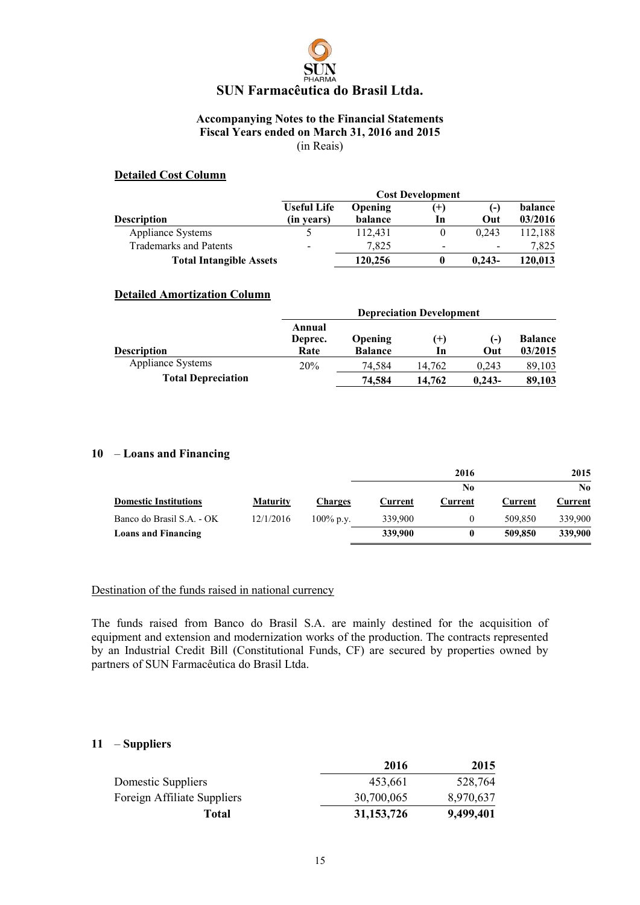

# **Detailed Cost Column**

|                                |                                  |                    | <b>Cost Development</b> |              |                    |
|--------------------------------|----------------------------------|--------------------|-------------------------|--------------|--------------------|
| <b>Description</b>             | <b>Useful Life</b><br>(in vears) | Opening<br>balance | (+)<br>In               | $(-)$<br>Out | balance<br>03/2016 |
| <b>Appliance Systems</b>       |                                  | 112.431            |                         | 0.243        | 112.188            |
| <b>Trademarks and Patents</b>  | -                                | 7.825              |                         | -            | 7.825              |
| <b>Total Intangible Assets</b> |                                  | 120,256            |                         | $0.243 -$    | 120.013            |

# **Detailed Amortization Column**

|                           | <b>Depreciation Development</b> |                                  |                |              |                           |
|---------------------------|---------------------------------|----------------------------------|----------------|--------------|---------------------------|
| <b>Description</b>        | Annual<br>Deprec.<br>Rate       | <b>Opening</b><br><b>Balance</b> | $^{(+)}$<br>In | $(-)$<br>Out | <b>Balance</b><br>03/2015 |
| Appliance Systems         | 20%                             | 74.584                           | 14.762         | 0.243        | 89.103                    |
| <b>Total Depreciation</b> |                                 | 74,584                           | 14.762         | $0.243 -$    | 89,103                    |

# **10** – **Loans and Financing**

|                              |                 |                |         | 2016    |         | 2015    |
|------------------------------|-----------------|----------------|---------|---------|---------|---------|
|                              |                 |                |         | No      |         | No.     |
| <b>Domestic Institutions</b> | <b>Maturity</b> | <b>Charges</b> | Current | Current | Current | Current |
| Banco do Brasil S.A. - OK    | 12/1/2016       | $100\%$ p.y.   | 339.900 | 0       | 509.850 | 339,900 |
| <b>Loans and Financing</b>   |                 |                | 339,900 | 0       | 509,850 | 339,900 |

# Destination of the funds raised in national currency

The funds raised from Banco do Brasil S.A. are mainly destined for the acquisition of equipment and extension and modernization works of the production. The contracts represented by an Industrial Credit Bill (Constitutional Funds, CF) are secured by properties owned by partners of SUN Farmacêutica do Brasil Ltda.

# **11** – **Suppliers**

|                             | 2016         | 2015      |
|-----------------------------|--------------|-----------|
| Domestic Suppliers          | 453.661      | 528,764   |
| Foreign Affiliate Suppliers | 30,700,065   | 8,970,637 |
| Total                       | 31, 153, 726 | 9,499,401 |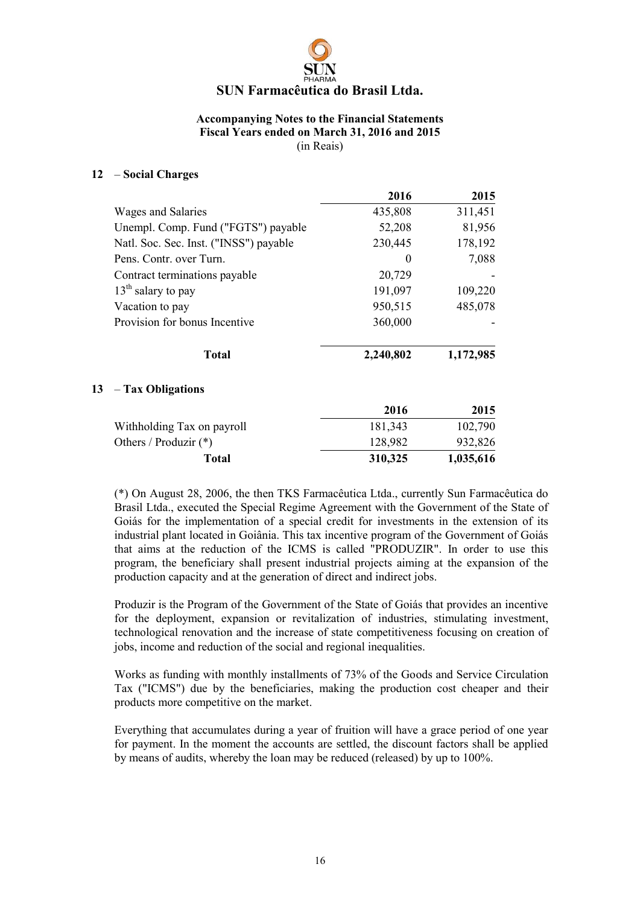

# **12** – **Social Charges**

|    |                                        | 2016      | 2015      |
|----|----------------------------------------|-----------|-----------|
|    | Wages and Salaries                     | 435,808   | 311,451   |
|    | Unempl. Comp. Fund ("FGTS") payable    | 52,208    | 81,956    |
|    | Natl. Soc. Sec. Inst. ("INSS") payable | 230,445   | 178,192   |
|    | Pens. Contr. over Turn.                | $\theta$  | 7,088     |
|    | Contract terminations payable          | 20,729    |           |
|    | $13th$ salary to pay                   | 191,097   | 109,220   |
|    | Vacation to pay                        | 950,515   | 485,078   |
|    | Provision for bonus Incentive          | 360,000   |           |
|    | <b>Total</b>                           | 2,240,802 | 1,172,985 |
| 13 | - Tax Obligations                      |           |           |
|    |                                        | 2016      | 2015      |
|    | Withholding Tax on payroll             | 181,343   | 102,790   |
|    | Others / Produzir (*)                  | 128,982   | 932,826   |
|    |                                        |           |           |

(\*) On August 28, 2006, the then TKS Farmacêutica Ltda., currently Sun Farmacêutica do Brasil Ltda., executed the Special Regime Agreement with the Government of the State of Goiás for the implementation of a special credit for investments in the extension of its industrial plant located in Goiânia. This tax incentive program of the Government of Goiás that aims at the reduction of the ICMS is called "PRODUZIR". In order to use this program, the beneficiary shall present industrial projects aiming at the expansion of the production capacity and at the generation of direct and indirect jobs.

**Total 310,325 1,035,616**

Produzir is the Program of the Government of the State of Goiás that provides an incentive for the deployment, expansion or revitalization of industries, stimulating investment, technological renovation and the increase of state competitiveness focusing on creation of jobs, income and reduction of the social and regional inequalities.

Works as funding with monthly installments of 73% of the Goods and Service Circulation Tax ("ICMS") due by the beneficiaries, making the production cost cheaper and their products more competitive on the market.

Everything that accumulates during a year of fruition will have a grace period of one year for payment. In the moment the accounts are settled, the discount factors shall be applied by means of audits, whereby the loan may be reduced (released) by up to 100%.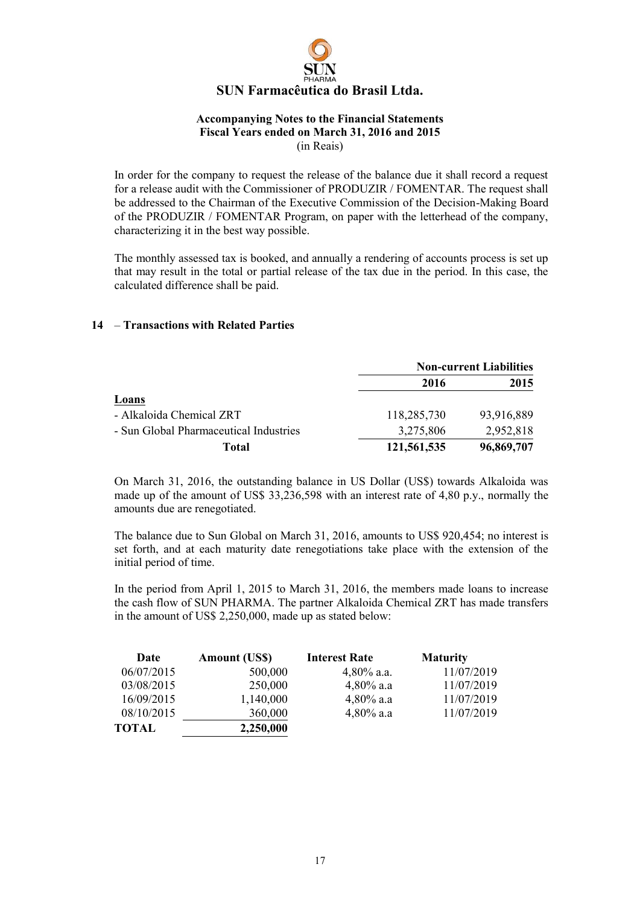

In order for the company to request the release of the balance due it shall record a request for a release audit with the Commissioner of PRODUZIR / FOMENTAR. The request shall be addressed to the Chairman of the Executive Commission of the Decision-Making Board of the PRODUZIR / FOMENTAR Program, on paper with the letterhead of the company, characterizing it in the best way possible.

The monthly assessed tax is booked, and annually a rendering of accounts process is set up that may result in the total or partial release of the tax due in the period. In this case, the calculated difference shall be paid.

# **14** – **Transactions with Related Parties**

|                                        | <b>Non-current Liabilities</b> |            |  |
|----------------------------------------|--------------------------------|------------|--|
|                                        | 2016                           | 2015       |  |
| <b>Loans</b>                           |                                |            |  |
| - Alkaloida Chemical ZRT               | 118,285,730                    | 93,916,889 |  |
| - Sun Global Pharmaceutical Industries | 3,275,806                      | 2,952,818  |  |
| Total                                  | 121,561,535                    | 96,869,707 |  |

On March 31, 2016, the outstanding balance in US Dollar (US\$) towards Alkaloida was made up of the amount of US\$ 33,236,598 with an interest rate of 4,80 p.y., normally the amounts due are renegotiated.

The balance due to Sun Global on March 31, 2016, amounts to US\$ 920,454; no interest is set forth, and at each maturity date renegotiations take place with the extension of the initial period of time.

In the period from April 1, 2015 to March 31, 2016, the members made loans to increase the cash flow of SUN PHARMA. The partner Alkaloida Chemical ZRT has made transfers in the amount of US\$ 2,250,000, made up as stated below:

| Date       | <b>Amount (US\$)</b> | <b>Interest Rate</b> | <b>Maturity</b> |
|------------|----------------------|----------------------|-----------------|
| 06/07/2015 | 500,000              | $4,80\%$ a.a.        | 11/07/2019      |
| 03/08/2015 | 250,000              | $4,80\%$ a.a         | 11/07/2019      |
| 16/09/2015 | 1,140,000            | $4,80\%$ a.a         | 11/07/2019      |
| 08/10/2015 | 360,000              | $4,80\%$ a.a         | 11/07/2019      |
| TOTAL      | 2,250,000            |                      |                 |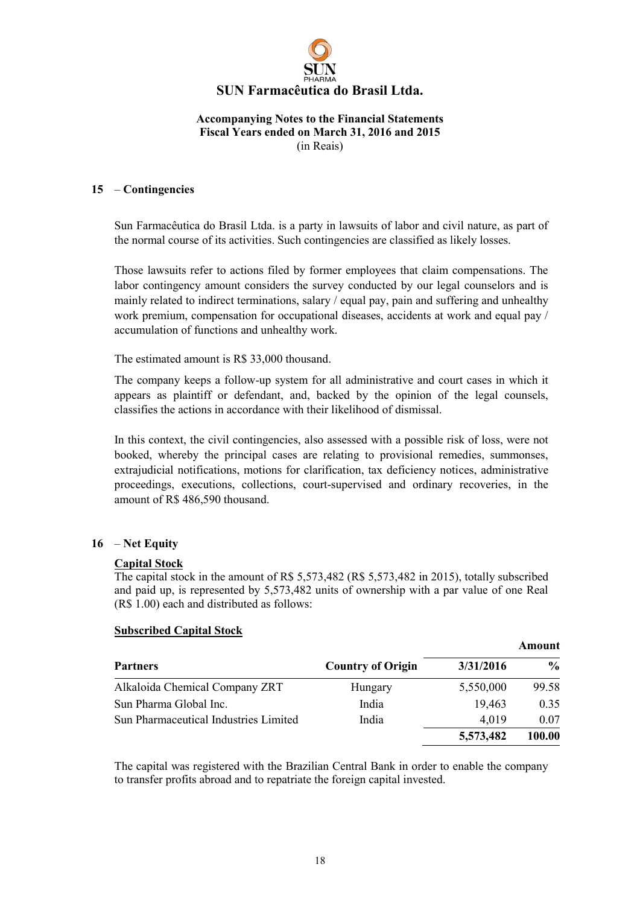

# **15** – **Contingencies**

Sun Farmacêutica do Brasil Ltda. is a party in lawsuits of labor and civil nature, as part of the normal course of its activities. Such contingencies are classified as likely losses.

Those lawsuits refer to actions filed by former employees that claim compensations. The labor contingency amount considers the survey conducted by our legal counselors and is mainly related to indirect terminations, salary / equal pay, pain and suffering and unhealthy work premium, compensation for occupational diseases, accidents at work and equal pay / accumulation of functions and unhealthy work.

The estimated amount is R\$ 33,000 thousand.

The company keeps a follow-up system for all administrative and court cases in which it appears as plaintiff or defendant, and, backed by the opinion of the legal counsels, classifies the actions in accordance with their likelihood of dismissal.

In this context, the civil contingencies, also assessed with a possible risk of loss, were not booked, whereby the principal cases are relating to provisional remedies, summonses, extrajudicial notifications, motions for clarification, tax deficiency notices, administrative proceedings, executions, collections, court-supervised and ordinary recoveries, in the amount of R\$ 486,590 thousand.

# **16** – **Net Equity**

# **Capital Stock**

The capital stock in the amount of R\$ 5,573,482 (R\$ 5,573,482 in 2015), totally subscribed and paid up, is represented by 5,573,482 units of ownership with a par value of one Real (R\$ 1.00) each and distributed as follows:

# **Subscribed Capital Stock**

|                                       |                          |           | Amount |
|---------------------------------------|--------------------------|-----------|--------|
| <b>Partners</b>                       | <b>Country of Origin</b> | 3/31/2016 | $\%$   |
| Alkaloida Chemical Company ZRT        | Hungary                  | 5,550,000 | 99.58  |
| Sun Pharma Global Inc.                | India                    | 19,463    | 0.35   |
| Sun Pharmaceutical Industries Limited | India                    | 4,019     | 0.07   |
|                                       |                          | 5,573,482 | 100.00 |

The capital was registered with the Brazilian Central Bank in order to enable the company to transfer profits abroad and to repatriate the foreign capital invested.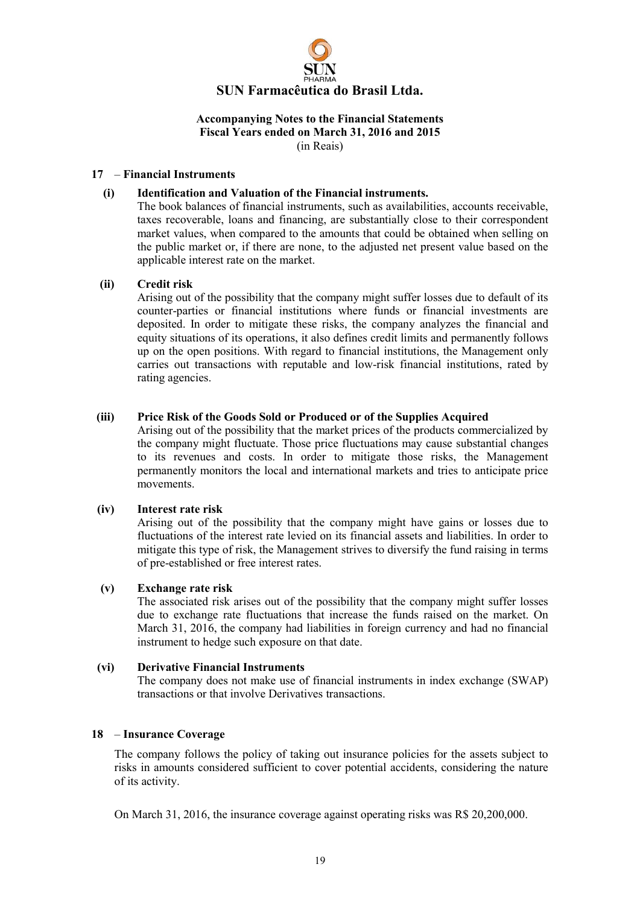

# **17** – **Financial Instruments**

# **(i) Identification and Valuation of the Financial instruments.**

The book balances of financial instruments, such as availabilities, accounts receivable, taxes recoverable, loans and financing, are substantially close to their correspondent market values, when compared to the amounts that could be obtained when selling on the public market or, if there are none, to the adjusted net present value based on the applicable interest rate on the market.

# **(ii) Credit risk**

Arising out of the possibility that the company might suffer losses due to default of its counter-parties or financial institutions where funds or financial investments are deposited. In order to mitigate these risks, the company analyzes the financial and equity situations of its operations, it also defines credit limits and permanently follows up on the open positions. With regard to financial institutions, the Management only carries out transactions with reputable and low-risk financial institutions, rated by rating agencies.

# **(iii) Price Risk of the Goods Sold or Produced or of the Supplies Acquired**

Arising out of the possibility that the market prices of the products commercialized by the company might fluctuate. Those price fluctuations may cause substantial changes to its revenues and costs. In order to mitigate those risks, the Management permanently monitors the local and international markets and tries to anticipate price movements.

# **(iv) Interest rate risk**

Arising out of the possibility that the company might have gains or losses due to fluctuations of the interest rate levied on its financial assets and liabilities. In order to mitigate this type of risk, the Management strives to diversify the fund raising in terms of pre-established or free interest rates.

# **(v) Exchange rate risk**

The associated risk arises out of the possibility that the company might suffer losses due to exchange rate fluctuations that increase the funds raised on the market. On March 31, 2016, the company had liabilities in foreign currency and had no financial instrument to hedge such exposure on that date.

# **(vi) Derivative Financial Instruments**

The company does not make use of financial instruments in index exchange (SWAP) transactions or that involve Derivatives transactions.

# **18** – **Insurance Coverage**

The company follows the policy of taking out insurance policies for the assets subject to risks in amounts considered sufficient to cover potential accidents, considering the nature of its activity.

On March 31, 2016, the insurance coverage against operating risks was R\$ 20,200,000.